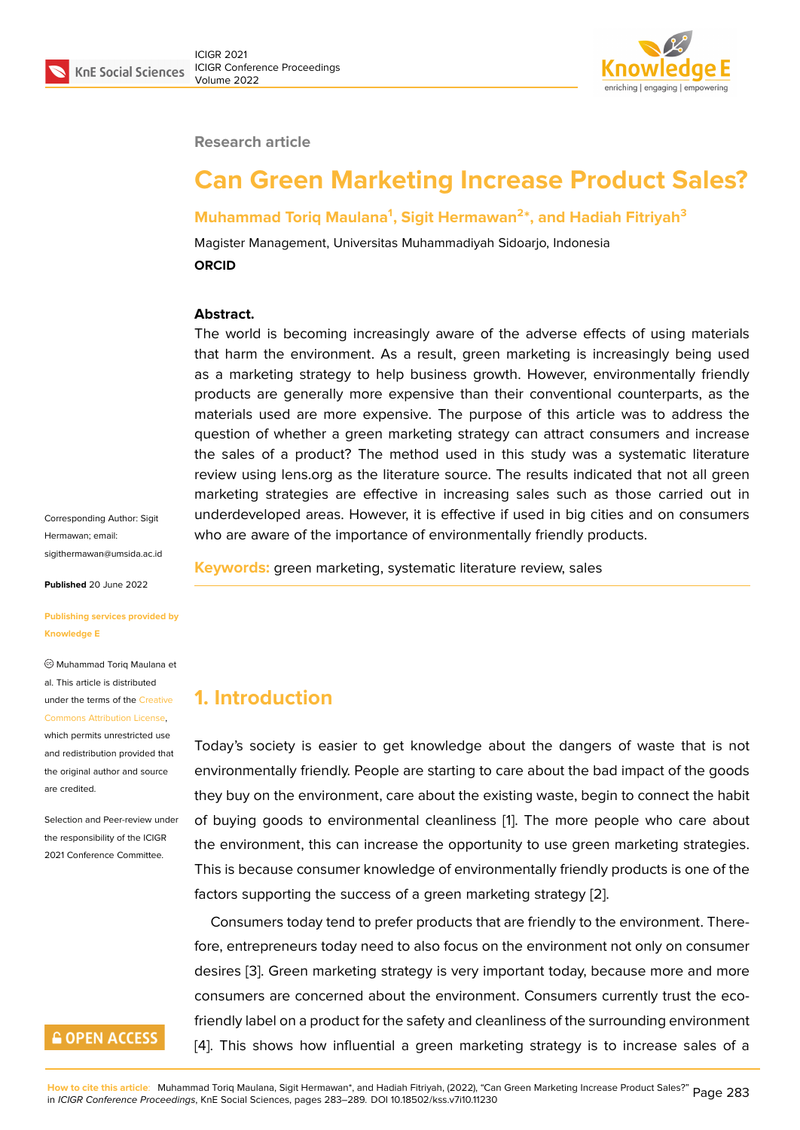

#### **Research article**

# **Can Green Marketing Increase Product Sales?**

### **Muhammad Toriq Maulana<sup>1</sup> , Sigit Hermawan<sup>2</sup> \*, and Hadiah Fitriyah<sup>3</sup>**

Magister Management, Universitas Muhammadiyah Sidoarjo, Indonesia **ORCID**

#### **Abstract.**

The world is becoming increasingly aware of the adverse effects of using materials that harm the environment. As a result, green marketing is increasingly being used as a marketing strategy to help business growth. However, environmentally friendly products are generally more expensive than their conventional counterparts, as the materials used are more expensive. The purpose of this article was to address the question of whether a green marketing strategy can attract consumers and increase the sales of a product? The method used in this study was a systematic literature review using lens.org as the literature source. The results indicated that not all green marketing strategies are effective in increasing sales such as those carried out in underdeveloped areas. However, it is effective if used in big cities and on consumers who are aware of the importance of environmentally friendly products.

Corresponding Author: Sigit Hermawan; email: sigithermawan@umsida.ac.id

**Published** 20 June 2022

**[Publishing services provided](mailto:sigithermawan@umsida.ac.id) by Knowledge E**

Muhammad Toriq Maulana et al. This article is distributed under the terms of the Creative Commons Attribution License,

which permits unrestricted use and redistribution provided that the original author and [source](https://creativecommons.org/licenses/by/4.0/) [are credited.](https://creativecommons.org/licenses/by/4.0/)

Selection and Peer-review under the responsibility of the ICIGR 2021 Conference Committee.



**Keywords:** green marketing, systematic literature review, sales

### **1. Introduction**

Today's society is easier to get knowledge about the dangers of waste that is not environmentally friendly. People are starting to care about the bad impact of the goods they buy on the environment, care about the existing waste, begin to connect the habit of buying goods to environmental cleanliness [1]. The more people who care about the environment, this can increase the opportunity to use green marketing strategies. This is because consumer knowledge of environmentally friendly products is one of the factors supporting the success of a green marke[ti](#page-5-0)ng strategy [2].

Consumers today tend to prefer products that are friendly to the environment. Therefore, entrepreneurs today need to also focus on the environment not only on consumer desires [3]. Green marketing strategy is very important today, [be](#page-5-1)cause more and more consumers are concerned about the environment. Consumers currently trust the ecofriendly label on a product for the safety and cleanliness of the surrounding environment [4]. This [s](#page-5-2)hows how influential a green marketing strategy is to increase sales of a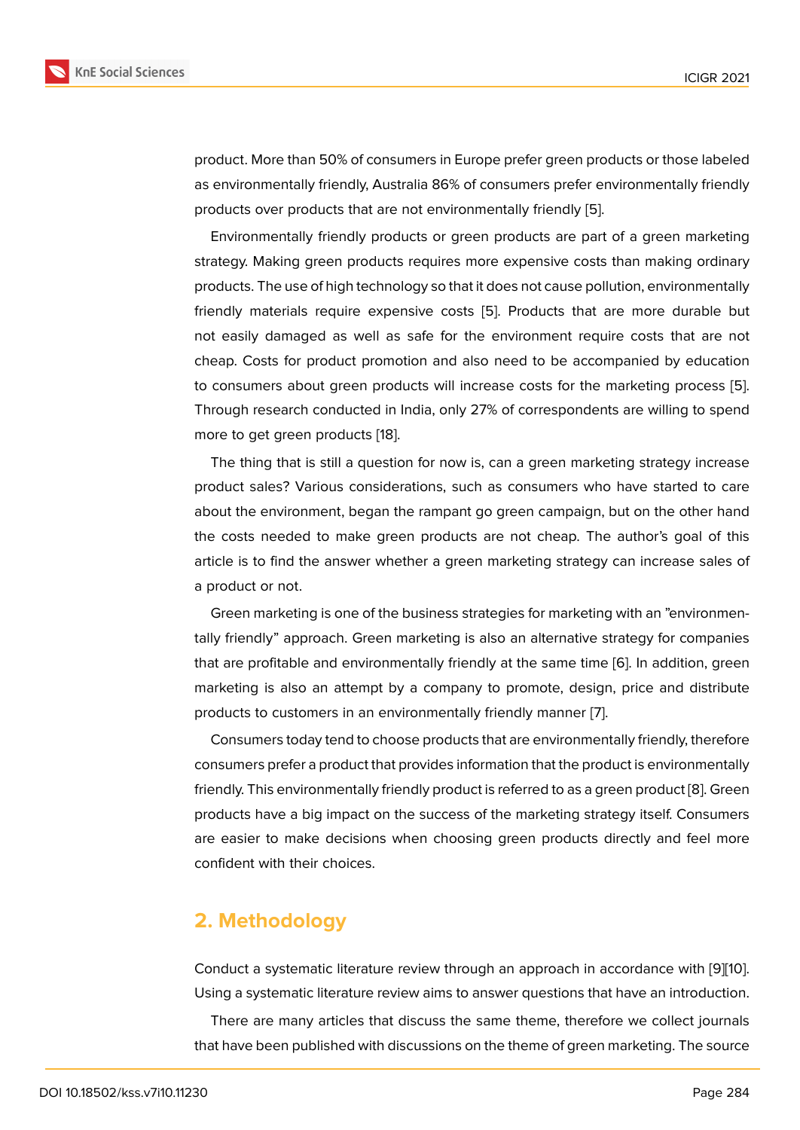product. More than 50% of consumers in Europe prefer green products or those labeled as environmentally friendly, Australia 86% of consumers prefer environmentally friendly products over products that are not environmentally friendly [5].

Environmentally friendly products or green products are part of a green marketing strategy. Making green products requires more expensive costs than making ordinary products. The use of high technology so that it does not cause [po](#page-5-3)llution, environmentally friendly materials require expensive costs [5]. Products that are more durable but not easily damaged as well as safe for the environment require costs that are not cheap. Costs for product promotion and also need to be accompanied by education to consumers about green products will incr[ea](#page-5-3)se costs for the marketing process [5]. Through research conducted in India, only 27% of correspondents are willing to spend more to get green products [18].

The thing that is still a question for now is, can a green marketing strategy incre[ase](#page-5-3) product sales? Various considerations, such as consumers who have started to care about the environment, beg[an](#page-6-0) the rampant go green campaign, but on the other hand the costs needed to make green products are not cheap. The author's goal of this article is to find the answer whether a green marketing strategy can increase sales of a product or not.

Green marketing is one of the business strategies for marketing with an "environmentally friendly" approach. Green marketing is also an alternative strategy for companies that are profitable and environmentally friendly at the same time [6]. In addition, green marketing is also an attempt by a company to promote, design, price and distribute products to customers in an environmentally friendly manner [7].

Consumers today tend to choose products that are environment[all](#page-6-1)y friendly, therefore consumers prefer a product that provides information that the product is environmentally friendly. This environmentally friendly product is referred to as a [g](#page-6-2)reen product [8]. Green products have a big impact on the success of the marketing strategy itself. Consumers are easier to make decisions when choosing green products directly and feel more confident with their choices.

### **2. Methodology**

Conduct a systematic literature review through an approach in accordance with [9][10]. Using a systematic literature review aims to answer questions that have an introduction.

There are many articles that discuss the same theme, therefore we collect journals that have been published with discussions on the theme of green marketing. The [so](#page-6-3)[urce](#page-6-4)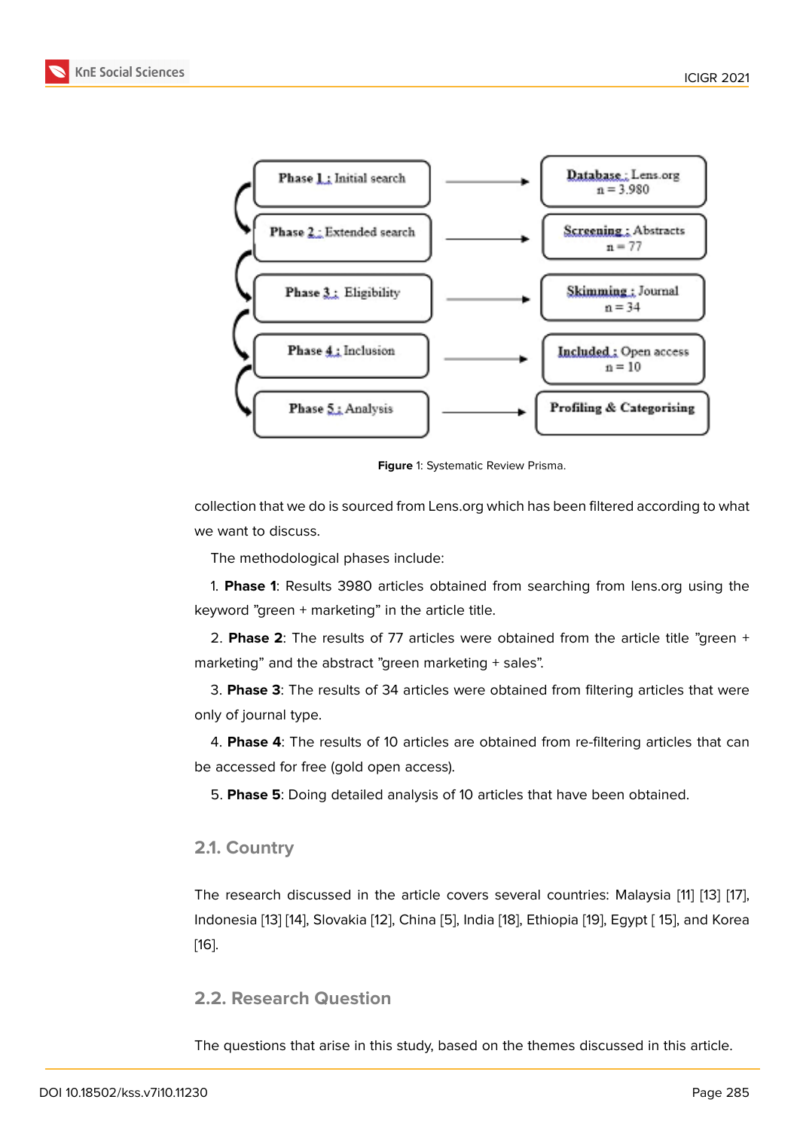

**Figure** 1: Systematic Review Prisma.

collection that we do is sourced from Lens.org which has been filtered according to what we want to discuss.

The methodological phases include:

1. **Phase 1**: Results 3980 articles obtained from searching from lens.org using the keyword "green + marketing" in the article title.

2. **Phase 2**: The results of 77 articles were obtained from the article title "green + marketing" and the abstract "green marketing + sales".

3. **Phase 3**: The results of 34 articles were obtained from filtering articles that were only of journal type.

4. **Phase 4**: The results of 10 articles are obtained from re-filtering articles that can be accessed for free (gold open access).

5. **Phase 5**: Doing detailed analysis of 10 articles that have been obtained.

#### **2.1. Country**

The research discussed in the article covers several countries: Malaysia [11] [13] [17], Indonesia [13] [14], Slovakia [12], China [5], India [18], Ethiopia [19], Egypt [ 15], and Korea [16].

### **[2.2](#page-6-8). Res[ea](#page-6-5)[rch](#page-6-6) Questi[on](#page-6-7)**

The questions that arise in this study, based on the themes discussed in this article.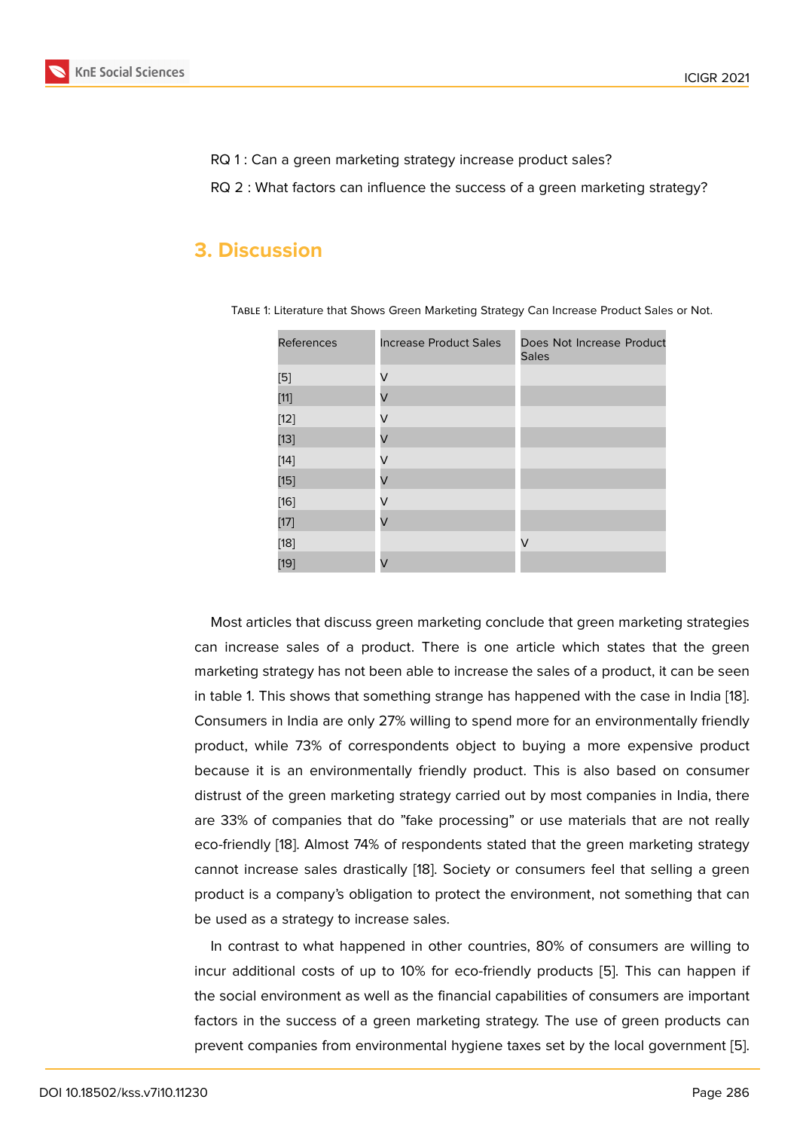RQ 1 : Can a green marketing strategy increase product sales?

RQ 2 : What factors can influence the success of a green marketing strategy?

### **3. Discussion**

| <b>References</b>  | <b>Increase Product Sales</b> | Does Not Increase Product<br><b>Sales</b> |
|--------------------|-------------------------------|-------------------------------------------|
|                    | V                             |                                           |
| $[11]$             | V                             |                                           |
| $[12]$             | V                             |                                           |
| $[13]$             | V                             |                                           |
| $[14]$             | V                             |                                           |
| $[15]$             | V                             |                                           |
| $[16]$             | V                             |                                           |
| $[17]$             | V                             |                                           |
| $\left[ 18\right]$ |                               | V                                         |
| $[19]$             | V                             |                                           |

Table 1: Literature that Shows Green Marketing Strategy Can Increase Product Sales or Not.

Most articl[es](#page-6-11) that discuss green marketing conclude that green marketing strategies can increase sales of a product. There is one article which states that the green marketing strategy has not been able to increase the sales of a product, it can be seen in table 1. This shows that something strange has happened with the case in India [18]. Consumers in India are only 27% willing to spend more for an environmentally friendly product, while 73% of correspondents object to buying a more expensive product because it is an environmentally friendly product. This is also based on consu[me](#page-6-0)r distrust of the green marketing strategy carried out by most companies in India, there are 33% of companies that do "fake processing" or use materials that are not really eco-friendly [18]. Almost 74% of respondents stated that the green marketing strategy cannot increase sales drastically [18]. Society or consumers feel that selling a green product is a company's obligation to protect the environment, not something that can be used as a [st](#page-6-0)rategy to increase sales.

In contrast to what happened i[n o](#page-6-0)ther countries, 80% of consumers are willing to incur additional costs of up to 10% for eco-friendly products [5]. This can happen if the social environment as well as the financial capabilities of consumers are important factors in the success of a green marketing strategy. The use of green products can prevent companies from environmental hygiene taxes set by th[e](#page-5-3) local government [5].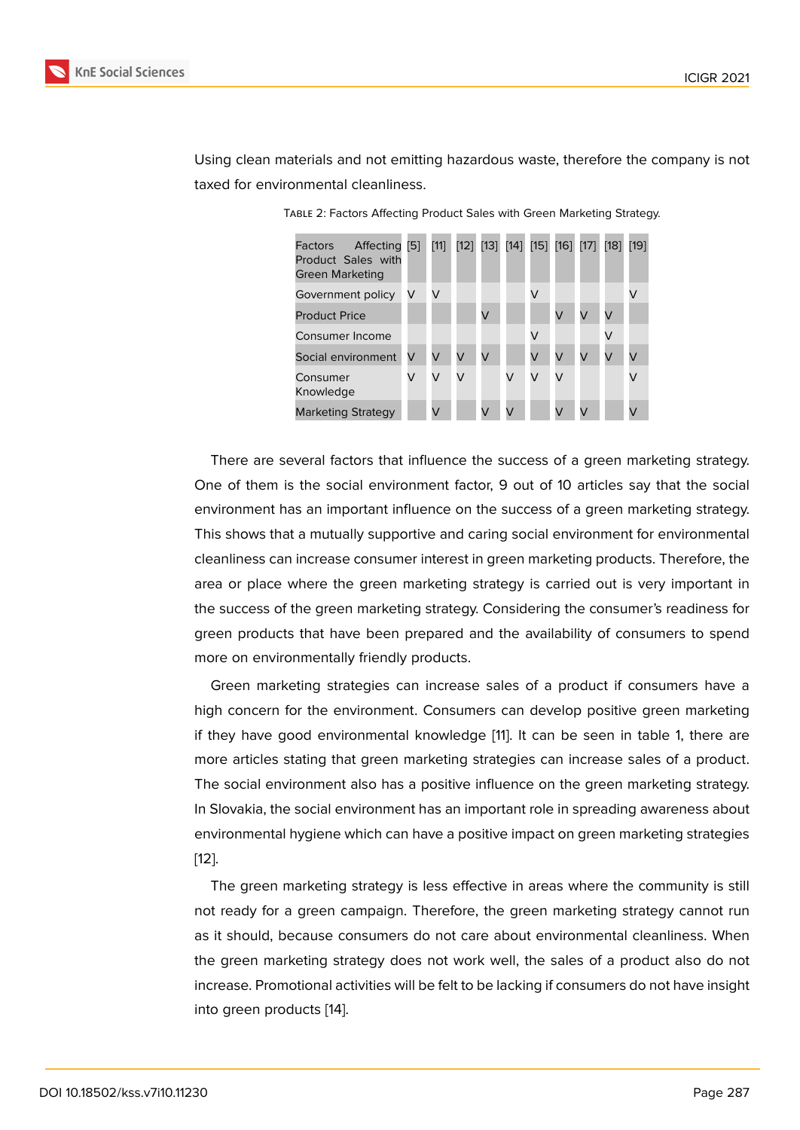Using clean materials and not emitting hazardous waste, therefore the company is not taxed for environmental cleanliness.

| Affecting [5]<br>Factors<br>Product Sales with<br>Green Marketing |   | $[11]$ | [12] [13] [14] [15] [16] [17] |   |   |   |   |   | [18]      | [19] |
|-------------------------------------------------------------------|---|--------|-------------------------------|---|---|---|---|---|-----------|------|
| Government policy                                                 | V | V      |                               |   |   | V |   |   |           | V    |
| <b>Product Price</b>                                              |   |        |                               | V |   |   |   | V | $\sqrt{}$ |      |
| Consumer Income                                                   |   |        |                               |   |   | V |   |   | V         |      |
| Social environment                                                | V | V      | V                             | V |   | V | V | V | V         | V    |
| Consumer<br>Knowledge                                             | V | V      | V                             |   | V | V |   |   |           | V    |
| Marketing Strategy                                                |   |        |                               | V |   |   |   |   |           |      |

Table 2: Factors Affecting Product Sales with Green Marketing Strategy.

There are several factors that influence the success of a green marketing strategy. One of them is the social environment factor, 9 out of 10 articles say that the social environment has an important influence on the success of a green marketing strategy. This shows that a mutually supportive and caring social environment for environmental cleanliness can increase consumer interest in green marketing products. Therefore, the area or place where the green marketing strategy is carried out is very important in the success of the green marketing strategy. Considering the consumer's readiness for green products that have been prepared and the availability of consumers to spend more on environmentally friendly products.

Green marketing strategies can increase sales of a product if consumers have a high concern for the environment. Consumers can develop positive green marketing if they have good environmental knowledge [11]. It can be seen in table 1, there are more articles stating that green marketing strategies can increase sales of a product. The social environment also has a positive influence on the green marketing strategy. In Slovakia, the social environment has an imp[orta](#page-6-9)nt role in spreading awareness about environmental hygiene which can have a positive impact on green marketing strategies [12].

The green marketing strategy is less effective in areas where the community is still not ready for a green campaign. Therefore, the green marketing strategy cannot run [as](#page-6-7) it should, because consumers do not care about environmental cleanliness. When the green marketing strategy does not work well, the sales of a product also do not increase. Promotional activities will be felt to be lacking if consumers do not have insight into green products [14].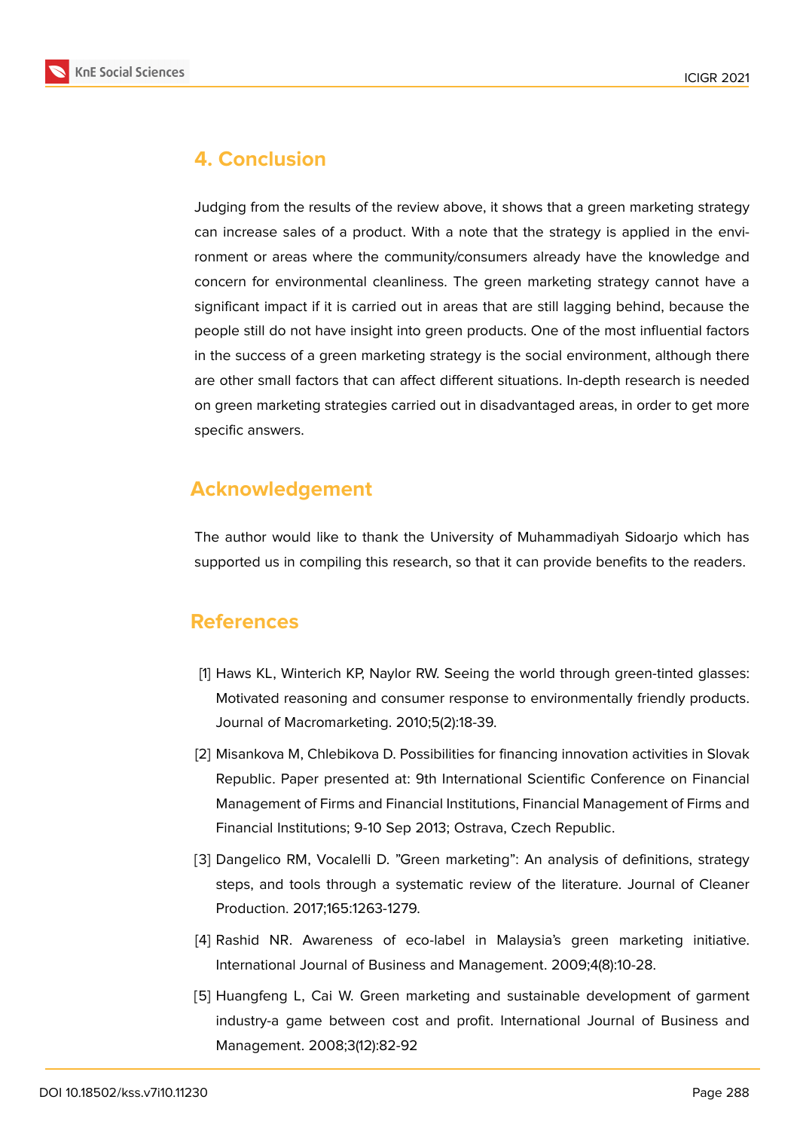

# **4. Conclusion**

Judging from the results of the review above, it shows that a green marketing strategy can increase sales of a product. With a note that the strategy is applied in the environment or areas where the community/consumers already have the knowledge and concern for environmental cleanliness. The green marketing strategy cannot have a significant impact if it is carried out in areas that are still lagging behind, because the people still do not have insight into green products. One of the most influential factors in the success of a green marketing strategy is the social environment, although there are other small factors that can affect different situations. In-depth research is needed on green marketing strategies carried out in disadvantaged areas, in order to get more specific answers.

## **Acknowledgement**

The author would like to thank the University of Muhammadiyah Sidoarjo which has supported us in compiling this research, so that it can provide benefits to the readers.

### **References**

- <span id="page-5-0"></span>[1] Haws KL, Winterich KP, Naylor RW. Seeing the world through green-tinted glasses: Motivated reasoning and consumer response to environmentally friendly products. Journal of Macromarketing. 2010;5(2):18-39.
- <span id="page-5-1"></span>[2] Misankova M, Chlebikova D. Possibilities for financing innovation activities in Slovak Republic. Paper presented at: 9th International Scientific Conference on Financial Management of Firms and Financial Institutions, Financial Management of Firms and Financial Institutions; 9-10 Sep 2013; Ostrava, Czech Republic.
- <span id="page-5-2"></span>[3] Dangelico RM, Vocalelli D. "Green marketing": An analysis of definitions, strategy steps, and tools through a systematic review of the literature. Journal of Cleaner Production. 2017;165:1263-1279.
- [4] Rashid NR. Awareness of eco-label in Malaysia's green marketing initiative. International Journal of Business and Management. 2009;4(8):10-28.
- <span id="page-5-3"></span>[5] Huangfeng L, Cai W. Green marketing and sustainable development of garment industry-a game between cost and profit. International Journal of Business and Management. 2008;3(12):82-92